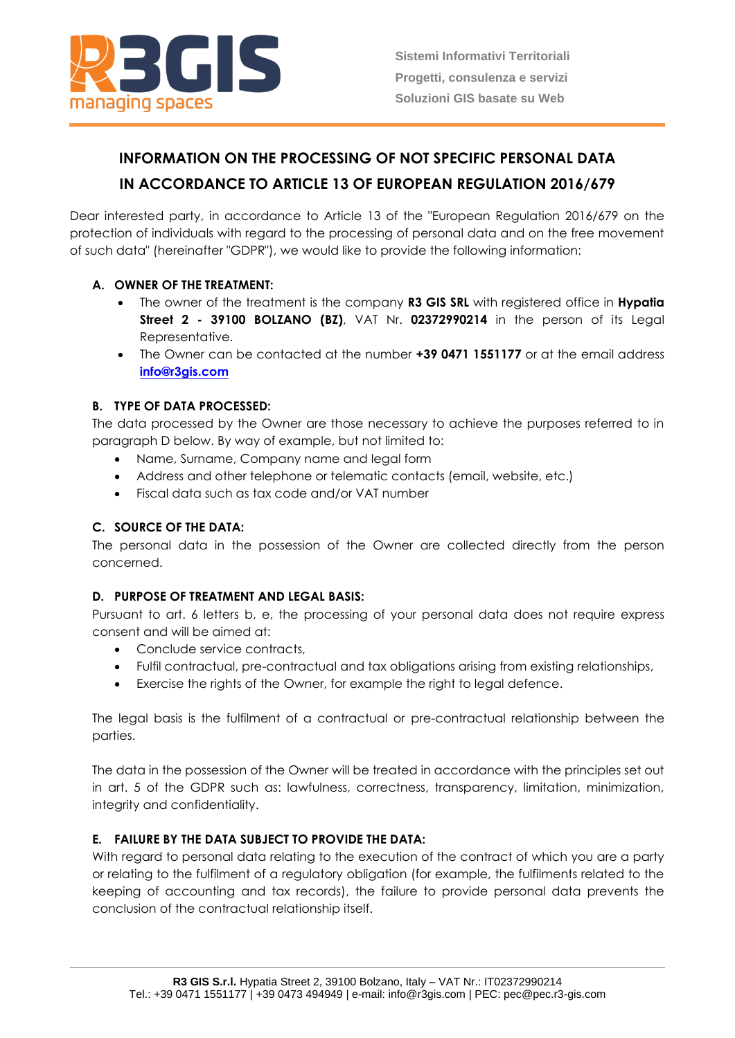

# **INFORMATION ON THE PROCESSING OF NOT SPECIFIC PERSONAL DATA IN ACCORDANCE TO ARTICLE 13 OF EUROPEAN REGULATION 2016/679**

Dear interested party, in accordance to Article 13 of the "European Regulation 2016/679 on the protection of individuals with regard to the processing of personal data and on the free movement of such data" (hereinafter "GDPR"), we would like to provide the following information:

# **A. OWNER OF THE TREATMENT:**

- The owner of the treatment is the company **R3 GIS SRL** with registered office in **Hypatia Street 2 - 39100 BOLZANO (BZ)**, VAT Nr. **02372990214** in the person of its Legal Representative.
- The Owner can be contacted at the number **+39 0471 1551177** or at the email address **[info@r3gis.com](mailto:info@r3-gis.com)**

# **B. TYPE OF DATA PROCESSED:**

The data processed by the Owner are those necessary to achieve the purposes referred to in paragraph D below. By way of example, but not limited to:

- Name, Surname, Company name and legal form
- Address and other telephone or telematic contacts (email, website, etc.)
- Fiscal data such as tax code and/or VAT number

# **C. SOURCE OF THE DATA:**

The personal data in the possession of the Owner are collected directly from the person concerned.

## **D. PURPOSE OF TREATMENT AND LEGAL BASIS:**

Pursuant to art. 6 letters b, e, the processing of your personal data does not require express consent and will be aimed at:

- Conclude service contracts,
- Fulfil contractual, pre-contractual and tax obligations arising from existing relationships,
- Exercise the rights of the Owner, for example the right to legal defence.

The legal basis is the fulfilment of a contractual or pre-contractual relationship between the parties.

The data in the possession of the Owner will be treated in accordance with the principles set out in art. 5 of the GDPR such as: lawfulness, correctness, transparency, limitation, minimization, integrity and confidentiality.

## **E. FAILURE BY THE DATA SUBJECT TO PROVIDE THE DATA:**

With regard to personal data relating to the execution of the contract of which you are a party or relating to the fulfilment of a regulatory obligation (for example, the fulfilments related to the keeping of accounting and tax records), the failure to provide personal data prevents the conclusion of the contractual relationship itself.